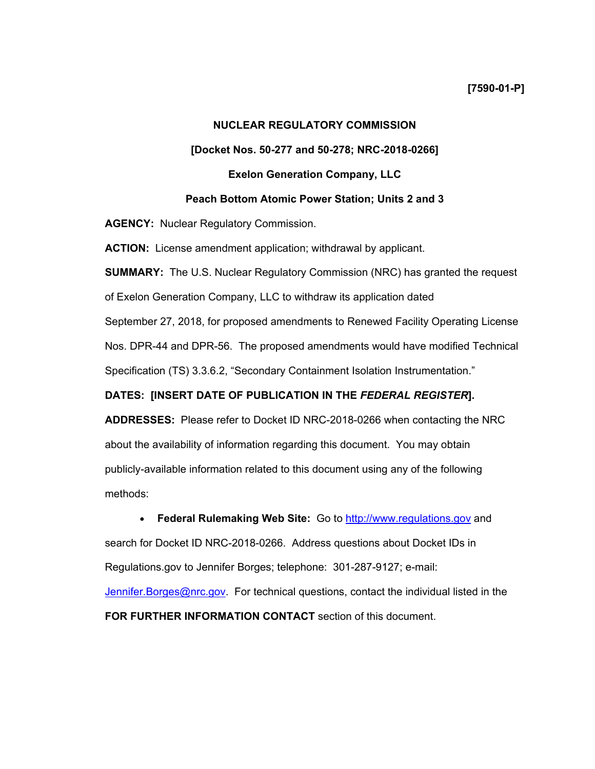## **NUCLEAR REGULATORY COMMISSION**

## **[Docket Nos. 50-277 and 50-278; NRC-2018-0266]**

## **Exelon Generation Company, LLC**

## **Peach Bottom Atomic Power Station; Units 2 and 3**

**AGENCY:** Nuclear Regulatory Commission.

**ACTION:** License amendment application; withdrawal by applicant.

**SUMMARY:** The U.S. Nuclear Regulatory Commission (NRC) has granted the request

of Exelon Generation Company, LLC to withdraw its application dated

September 27, 2018, for proposed amendments to Renewed Facility Operating License

Nos. DPR-44 and DPR-56. The proposed amendments would have modified Technical

Specification (TS) 3.3.6.2, "Secondary Containment Isolation Instrumentation."

## **DATES: [INSERT DATE OF PUBLICATION IN THE** *FEDERAL REGISTER***].**

**ADDRESSES:** Please refer to Docket ID NRC-2018-0266 when contacting the NRC about the availability of information regarding this document. You may obtain publicly-available information related to this document using any of the following methods:

• **Federal Rulemaking Web Site:** Go to http://www.regulations.gov and search for Docket ID NRC-2018-0266. Address questions about Docket IDs in Regulations.gov to Jennifer Borges; telephone: 301-287-9127; e-mail: Jennifer. Borges@nrc.gov. For technical questions, contact the individual listed in the

**FOR FURTHER INFORMATION CONTACT** section of this document.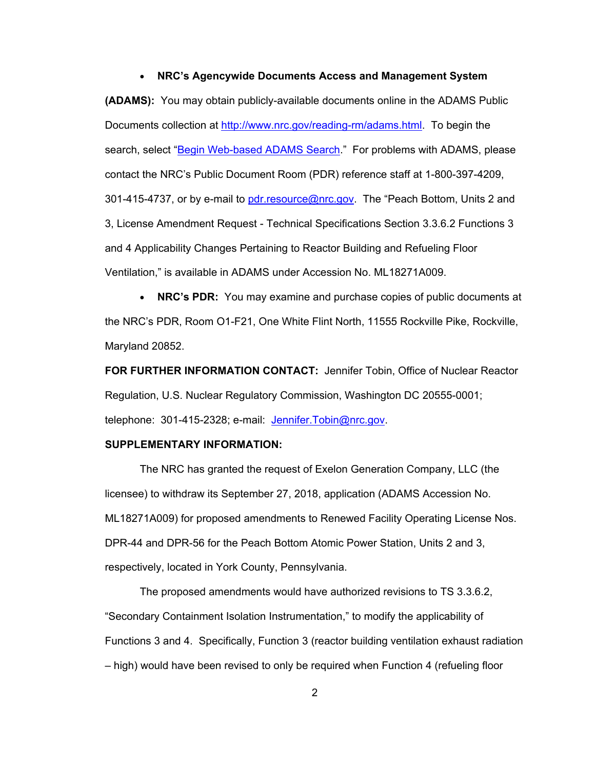#### • **NRC's Agencywide Documents Access and Management System**

**(ADAMS):** You may obtain publicly-available documents online in the ADAMS Public Documents collection at http://www.nrc.gov/reading-rm/adams.html. To begin the search, select "Begin Web-based ADAMS Search." For problems with ADAMS, please contact the NRC's Public Document Room (PDR) reference staff at 1-800-397-4209, 301-415-4737, or by e-mail to pdr.resource@nrc.gov. The "Peach Bottom, Units 2 and 3, License Amendment Request - Technical Specifications Section 3.3.6.2 Functions 3 and 4 Applicability Changes Pertaining to Reactor Building and Refueling Floor Ventilation," is available in ADAMS under Accession No. ML18271A009.

• **NRC's PDR:** You may examine and purchase copies of public documents at the NRC's PDR, Room O1-F21, One White Flint North, 11555 Rockville Pike, Rockville, Maryland 20852.

**FOR FURTHER INFORMATION CONTACT:** Jennifer Tobin, Office of Nuclear Reactor Regulation, U.S. Nuclear Regulatory Commission, Washington DC 20555-0001; telephone: 301-415-2328; e-mail: Jennifer.Tobin@nrc.gov.

# **SUPPLEMENTARY INFORMATION:**

The NRC has granted the request of Exelon Generation Company, LLC (the licensee) to withdraw its September 27, 2018, application (ADAMS Accession No. ML18271A009) for proposed amendments to Renewed Facility Operating License Nos. DPR-44 and DPR-56 for the Peach Bottom Atomic Power Station, Units 2 and 3, respectively, located in York County, Pennsylvania.

The proposed amendments would have authorized revisions to TS 3.3.6.2, "Secondary Containment Isolation Instrumentation," to modify the applicability of Functions 3 and 4. Specifically, Function 3 (reactor building ventilation exhaust radiation – high) would have been revised to only be required when Function 4 (refueling floor